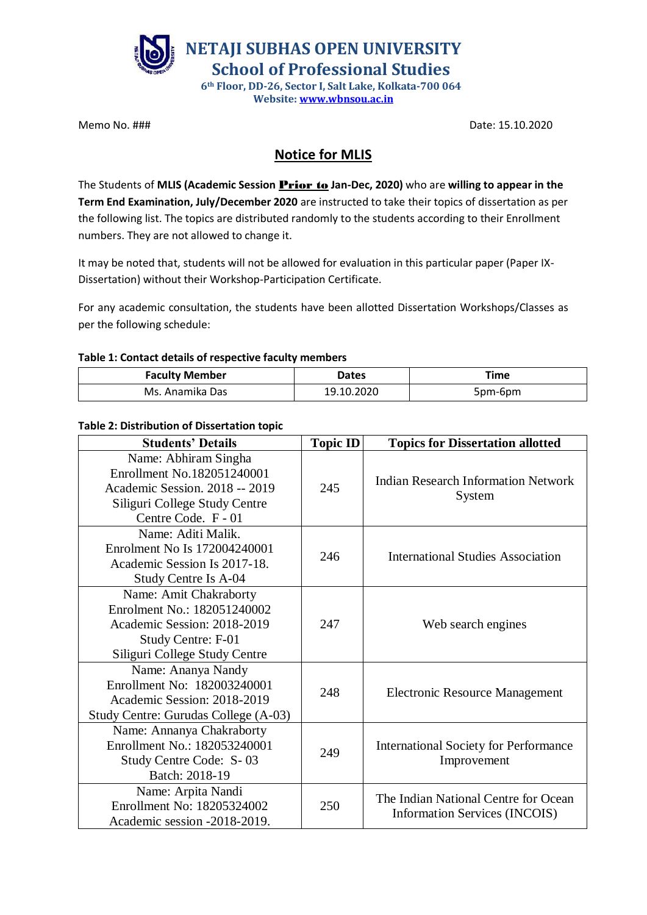

**Website: [www.wbnsou.ac.in](http://www.wbnsou.ac.in/)**

Memo No. ### Date: 15.10.2020

## **Notice for MLIS**

The Students of **MLIS (Academic Session** Prior to **Jan-Dec, 2020)** who are **willing to appear in the Term End Examination, July/December 2020** are instructed to take their topics of dissertation as per the following list. The topics are distributed randomly to the students according to their Enrollment numbers. They are not allowed to change it.

It may be noted that, students will not be allowed for evaluation in this particular paper (Paper IX-Dissertation) without their Workshop-Participation Certificate.

For any academic consultation, the students have been allotted Dissertation Workshops/Classes as per the following schedule:

## **Table 1: Contact details of respective faculty members**

| <b>Faculty Member</b> | Dates      | Time    |
|-----------------------|------------|---------|
| Ms. Anamika Das       | 19.10.2020 | 5pm-6pm |

## **Table 2: Distribution of Dissertation topic**

| <b>Students' Details</b>                                                                                                                     | <b>Topic ID</b> | <b>Topics for Dissertation allotted</b>                                      |
|----------------------------------------------------------------------------------------------------------------------------------------------|-----------------|------------------------------------------------------------------------------|
| Name: Abhiram Singha<br>Enrollment No.182051240001<br>Academic Session. 2018 -- 2019<br>Siliguri College Study Centre<br>Centre Code. F - 01 | 245             | <b>Indian Research Information Network</b><br>System                         |
| Name: Aditi Malik.<br>Enrolment No Is 172004240001<br>Academic Session Is 2017-18.<br>Study Centre Is A-04                                   | 246             | <b>International Studies Association</b>                                     |
| Name: Amit Chakraborty<br>Enrolment No.: 182051240002<br>Academic Session: 2018-2019<br>Study Centre: F-01<br>Siliguri College Study Centre  | 247             | Web search engines                                                           |
| Name: Ananya Nandy<br>Enrollment No: 182003240001<br>Academic Session: 2018-2019<br>Study Centre: Gurudas College (A-03)                     | 248             | <b>Electronic Resource Management</b>                                        |
| Name: Annanya Chakraborty<br>Enrollment No.: 182053240001<br>Study Centre Code: S-03<br>Batch: 2018-19                                       | 249             | <b>International Society for Performance</b><br>Improvement                  |
| Name: Arpita Nandi<br>Enrollment No: 18205324002<br>Academic session -2018-2019.                                                             | 250             | The Indian National Centre for Ocean<br><b>Information Services (INCOIS)</b> |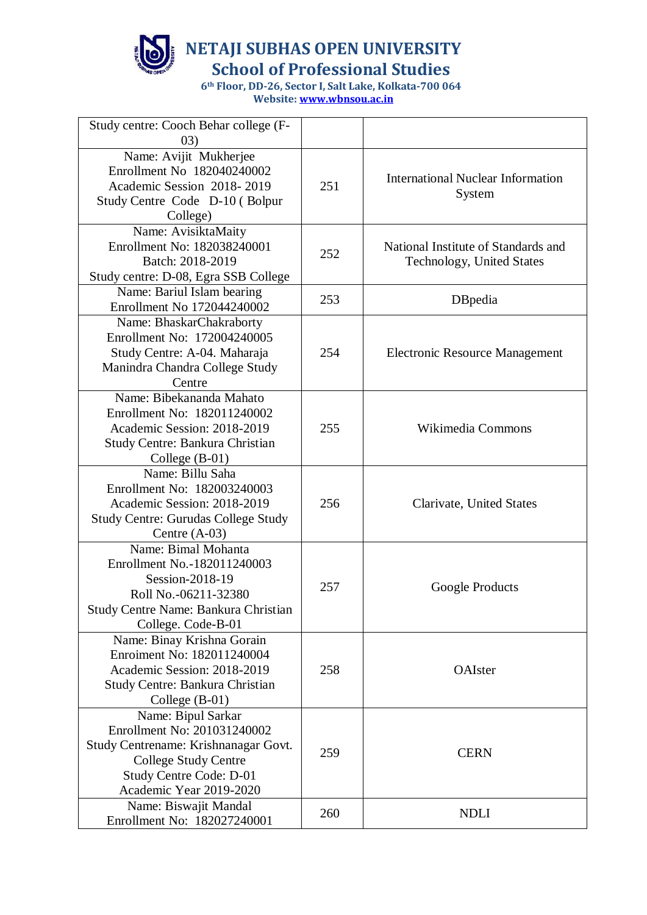

**School of Professional Studies**

| Study centre: Cooch Behar college (F-<br>(03) |     |                                          |
|-----------------------------------------------|-----|------------------------------------------|
| Name: Avijit Mukherjee                        |     |                                          |
| Enrollment No 182040240002                    |     |                                          |
| Academic Session 2018-2019                    | 251 | <b>International Nuclear Information</b> |
| Study Centre Code D-10 (Bolpur                |     | System                                   |
|                                               |     |                                          |
| College)<br>Name: AvisiktaMaity               |     |                                          |
| Enrollment No: 182038240001                   |     | National Institute of Standards and      |
| Batch: 2018-2019                              | 252 |                                          |
|                                               |     | Technology, United States                |
| Study centre: D-08, Egra SSB College          |     |                                          |
| Name: Bariul Islam bearing                    | 253 | DBpedia                                  |
| Enrollment No 172044240002                    |     |                                          |
| Name: BhaskarChakraborty                      |     |                                          |
| Enrollment No: 172004240005                   |     |                                          |
| Study Centre: A-04. Maharaja                  | 254 | <b>Electronic Resource Management</b>    |
| Manindra Chandra College Study                |     |                                          |
| Centre                                        |     |                                          |
| Name: Bibekananda Mahato                      |     |                                          |
| Enrollment No: 182011240002                   |     |                                          |
| Academic Session: 2018-2019                   | 255 | Wikimedia Commons                        |
| Study Centre: Bankura Christian               |     |                                          |
| College $(B-01)$                              |     |                                          |
| Name: Billu Saha                              |     |                                          |
| Enrollment No: 182003240003                   |     |                                          |
| Academic Session: 2018-2019                   | 256 | Clarivate, United States                 |
| <b>Study Centre: Gurudas College Study</b>    |     |                                          |
| Centre $(A-03)$                               |     |                                          |
| Name: Bimal Mohanta                           |     |                                          |
| Enrollment No.-182011240003                   |     |                                          |
| Session-2018-19                               | 257 | Google Products                          |
| Roll No.-06211-32380                          |     |                                          |
| Study Centre Name: Bankura Christian          |     |                                          |
| College. Code-B-01                            |     |                                          |
| Name: Binay Krishna Gorain                    |     |                                          |
| Enroiment No: 182011240004                    |     |                                          |
| Academic Session: 2018-2019                   | 258 | OAIster                                  |
| Study Centre: Bankura Christian               |     |                                          |
| College $(B-01)$                              |     |                                          |
| Name: Bipul Sarkar                            |     |                                          |
| Enrollment No: 201031240002                   |     |                                          |
| Study Centrename: Krishnanagar Govt.          | 259 | <b>CERN</b>                              |
| <b>College Study Centre</b>                   |     |                                          |
| <b>Study Centre Code: D-01</b>                |     |                                          |
| Academic Year 2019-2020                       |     |                                          |
| Name: Biswajit Mandal                         | 260 | <b>NDLI</b>                              |
| Enrollment No: 182027240001                   |     |                                          |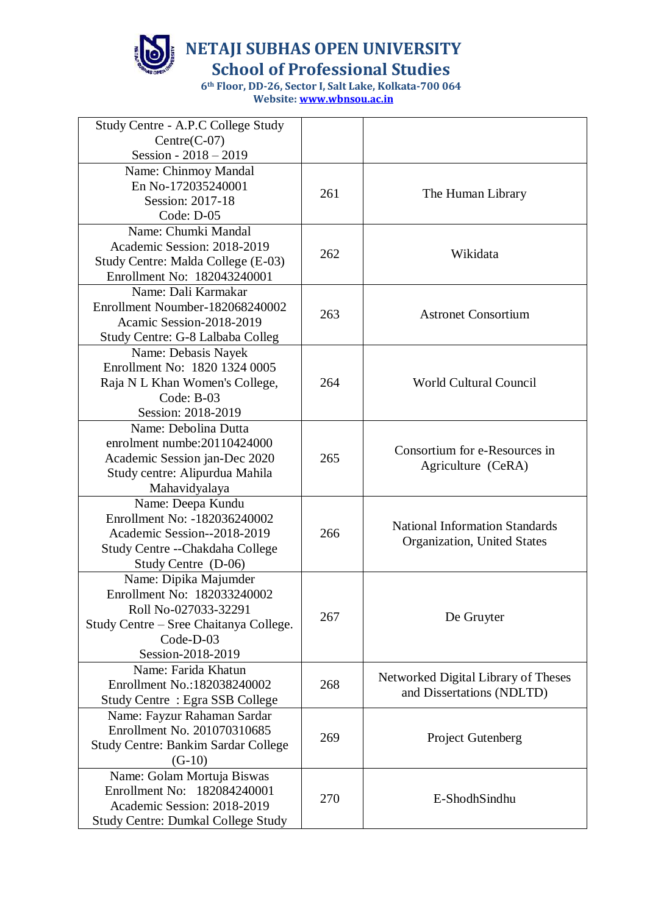

**School of Professional Studies**

| Study Centre - A.P.C College Study                        |     |                                       |
|-----------------------------------------------------------|-----|---------------------------------------|
| $Centre(C-07)$<br>Session - $2018 - 2019$                 |     |                                       |
| Name: Chinmoy Mandal                                      |     |                                       |
| En No-172035240001                                        |     |                                       |
| Session: 2017-18                                          | 261 | The Human Library                     |
| Code: D-05                                                |     |                                       |
| Name: Chumki Mandal                                       |     |                                       |
| Academic Session: 2018-2019                               |     |                                       |
| Study Centre: Malda College (E-03)                        | 262 | Wikidata                              |
| Enrollment No: 182043240001                               |     |                                       |
| Name: Dali Karmakar                                       |     |                                       |
| Enrollment Noumber-182068240002                           |     |                                       |
| Acamic Session-2018-2019                                  | 263 | <b>Astronet Consortium</b>            |
| Study Centre: G-8 Lalbaba Colleg                          |     |                                       |
| Name: Debasis Nayek                                       |     |                                       |
| Enrollment No: 1820 1324 0005                             |     |                                       |
| Raja N L Khan Women's College,                            | 264 | World Cultural Council                |
| Code: $B-03$                                              |     |                                       |
| Session: 2018-2019                                        |     |                                       |
| Name: Debolina Dutta                                      |     |                                       |
| enrolment numbe: 20110424000                              |     | Consortium for e-Resources in         |
| Academic Session jan-Dec 2020                             | 265 | Agriculture (CeRA)                    |
| Study centre: Alipurdua Mahila                            |     |                                       |
| Mahavidyalaya                                             |     |                                       |
| Name: Deepa Kundu<br>Enrollment No: -182036240002         |     |                                       |
| Academic Session--2018-2019                               | 266 | <b>National Information Standards</b> |
| Study Centre -- Chakdaha College                          |     | Organization, United States           |
| Study Centre (D-06)                                       |     |                                       |
| Name: Dipika Majumder                                     |     |                                       |
| Enrollment No: 182033240002                               |     |                                       |
| Roll No-027033-32291                                      |     |                                       |
| Study Centre - Sree Chaitanya College.                    | 267 | De Gruyter                            |
| Code-D-03                                                 |     |                                       |
| Session-2018-2019                                         |     |                                       |
| Name: Farida Khatun                                       |     | Networked Digital Library of Theses   |
| Enrollment No.:182038240002                               | 268 | and Dissertations (NDLTD)             |
| Study Centre: Egra SSB College                            |     |                                       |
| Name: Fayzur Rahaman Sardar                               |     |                                       |
| Enrollment No. 201070310685                               | 269 | <b>Project Gutenberg</b>              |
| Study Centre: Bankim Sardar College                       |     |                                       |
| $(G-10)$                                                  |     |                                       |
| Name: Golam Mortuja Biswas<br>Enrollment No: 182084240001 |     |                                       |
| Academic Session: 2018-2019                               | 270 | E-ShodhSindhu                         |
| <b>Study Centre: Dumkal College Study</b>                 |     |                                       |
|                                                           |     |                                       |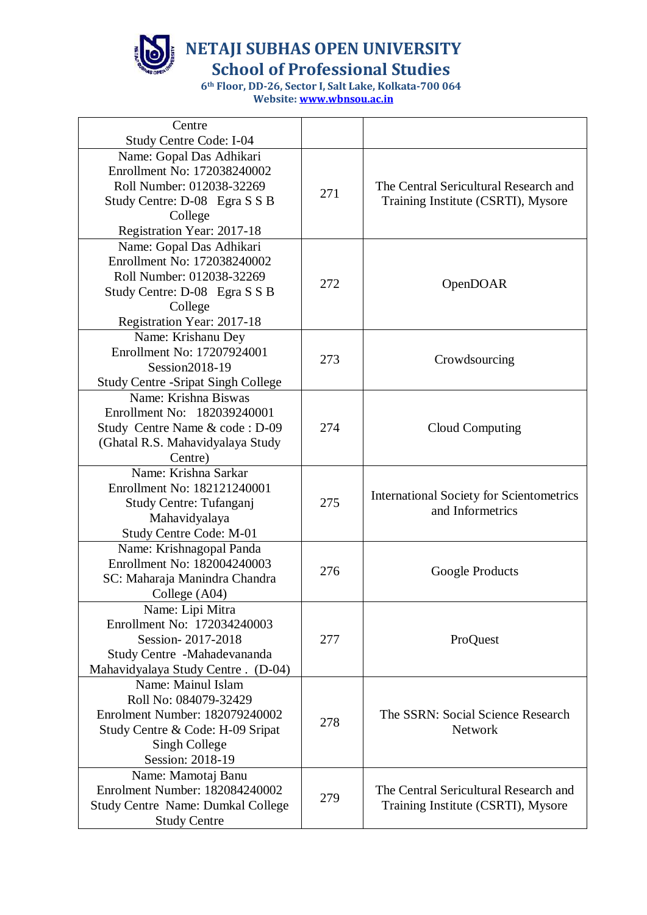

**School of Professional Studies**

| Centre                                     |     |                                                 |
|--------------------------------------------|-----|-------------------------------------------------|
| <b>Study Centre Code: I-04</b>             |     |                                                 |
| Name: Gopal Das Adhikari                   |     |                                                 |
| Enrollment No: 172038240002                |     |                                                 |
| Roll Number: 012038-32269                  | 271 | The Central Sericultural Research and           |
| Study Centre: D-08 Egra S S B              |     | Training Institute (CSRTI), Mysore              |
| College                                    |     |                                                 |
| Registration Year: 2017-18                 |     |                                                 |
| Name: Gopal Das Adhikari                   |     |                                                 |
| Enrollment No: 172038240002                |     |                                                 |
| Roll Number: 012038-32269                  |     |                                                 |
| Study Centre: D-08 Egra S S B              | 272 | OpenDOAR                                        |
| College                                    |     |                                                 |
| Registration Year: 2017-18                 |     |                                                 |
| Name: Krishanu Dey                         |     |                                                 |
| Enrollment No: 17207924001                 |     |                                                 |
| Session2018-19                             | 273 | Crowdsourcing                                   |
| <b>Study Centre - Sripat Singh College</b> |     |                                                 |
| Name: Krishna Biswas                       |     |                                                 |
| Enrollment No: 182039240001                |     |                                                 |
| Study Centre Name & code: D-09             | 274 | Cloud Computing                                 |
| (Ghatal R.S. Mahavidyalaya Study           |     |                                                 |
| Centre)                                    |     |                                                 |
| Name: Krishna Sarkar                       |     |                                                 |
| Enrollment No: 182121240001                |     | <b>International Society for Scientometrics</b> |
| Study Centre: Tufanganj                    | 275 | and Informetrics                                |
| Mahavidyalaya                              |     |                                                 |
| Study Centre Code: M-01                    |     |                                                 |
| Name: Krishnagopal Panda                   |     |                                                 |
| Enrollment No: 182004240003                | 276 | Google Products                                 |
| SC: Maharaja Manindra Chandra              |     |                                                 |
| College (A04)                              |     |                                                 |
| Name: Lipi Mitra                           |     |                                                 |
| Enrollment No: 172034240003                |     |                                                 |
| Session-2017-2018                          | 277 | ProQuest                                        |
| Study Centre -Mahadevananda                |     |                                                 |
| Mahavidyalaya Study Centre. (D-04)         |     |                                                 |
| Name: Mainul Islam                         |     |                                                 |
| Roll No: 084079-32429                      |     |                                                 |
| Enrolment Number: 182079240002             | 278 | The SSRN: Social Science Research               |
| Study Centre & Code: H-09 Sripat           |     | <b>Network</b>                                  |
| Singh College                              |     |                                                 |
| Session: 2018-19                           |     |                                                 |
| Name: Mamotaj Banu                         |     |                                                 |
| Enrolment Number: 182084240002             | 279 | The Central Sericultural Research and           |
| <b>Study Centre Name: Dumkal College</b>   |     | Training Institute (CSRTI), Mysore              |
| <b>Study Centre</b>                        |     |                                                 |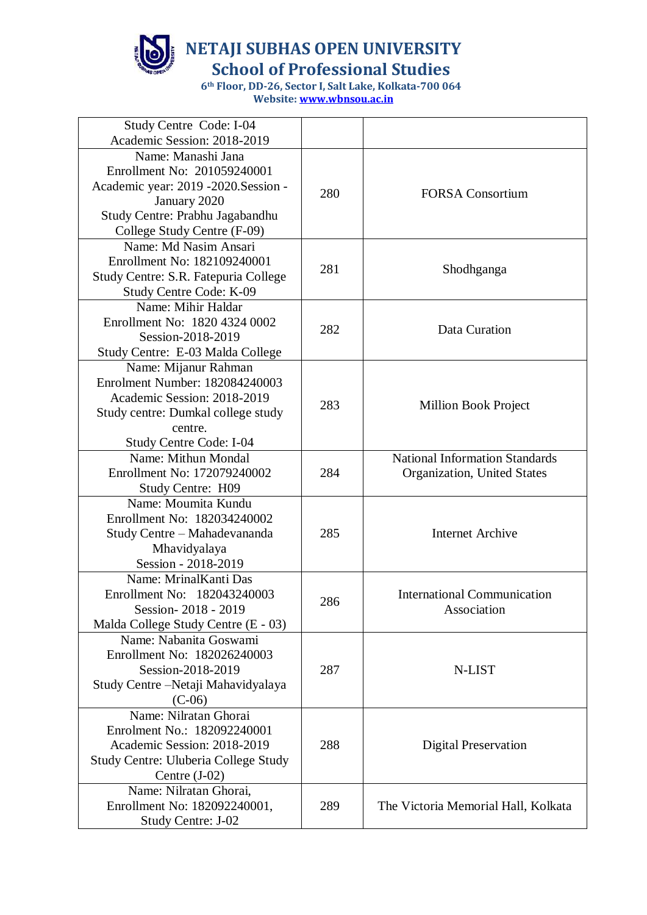

**School of Professional Studies**

| Study Centre Code: I-04<br>Academic Session: 2018-2019                                                                                                            |     |                                                                      |
|-------------------------------------------------------------------------------------------------------------------------------------------------------------------|-----|----------------------------------------------------------------------|
| Name: Manashi Jana<br>Enrollment No: 201059240001<br>Academic year: 2019 -2020.Session -<br>January 2020<br>Study Centre: Prabhu Jagabandhu                       | 280 | <b>FORSA</b> Consortium                                              |
| College Study Centre (F-09)<br>Name: Md Nasim Ansari<br>Enrollment No: 182109240001<br>Study Centre: S.R. Fatepuria College<br>Study Centre Code: K-09            | 281 | Shodhganga                                                           |
| Name: Mihir Haldar<br>Enrollment No: 1820 4324 0002<br>Session-2018-2019<br>Study Centre: E-03 Malda College                                                      | 282 | Data Curation                                                        |
| Name: Mijanur Rahman<br>Enrolment Number: 182084240003<br>Academic Session: 2018-2019<br>Study centre: Dumkal college study<br>centre.<br>Study Centre Code: I-04 | 283 | Million Book Project                                                 |
| Name: Mithun Mondal<br>Enrollment No: 172079240002<br><b>Study Centre: H09</b>                                                                                    | 284 | <b>National Information Standards</b><br>Organization, United States |
| Name: Moumita Kundu<br>Enrollment No: 182034240002<br>Study Centre - Mahadevananda<br>Mhavidyalaya<br>Session - 2018-2019                                         | 285 | <b>Internet Archive</b>                                              |
| Name: MrinalKanti Das<br>Enrollment No: 182043240003<br>Session-2018 - 2019<br>Malda College Study Centre (E - 03)                                                | 286 | <b>International Communication</b><br>Association                    |
| Name: Nabanita Goswami<br>Enrollment No: 182026240003<br>Session-2018-2019<br>Study Centre – Netaji Mahavidyalaya<br>$(C-06)$                                     | 287 | N-LIST                                                               |
| Name: Nilratan Ghorai<br>Enrolment No.: 182092240001<br>Academic Session: 2018-2019<br><b>Study Centre: Uluberia College Study</b><br>Centre $(J-02)$             | 288 | <b>Digital Preservation</b>                                          |
| Name: Nilratan Ghorai,<br>Enrollment No: 182092240001,<br><b>Study Centre: J-02</b>                                                                               | 289 | The Victoria Memorial Hall, Kolkata                                  |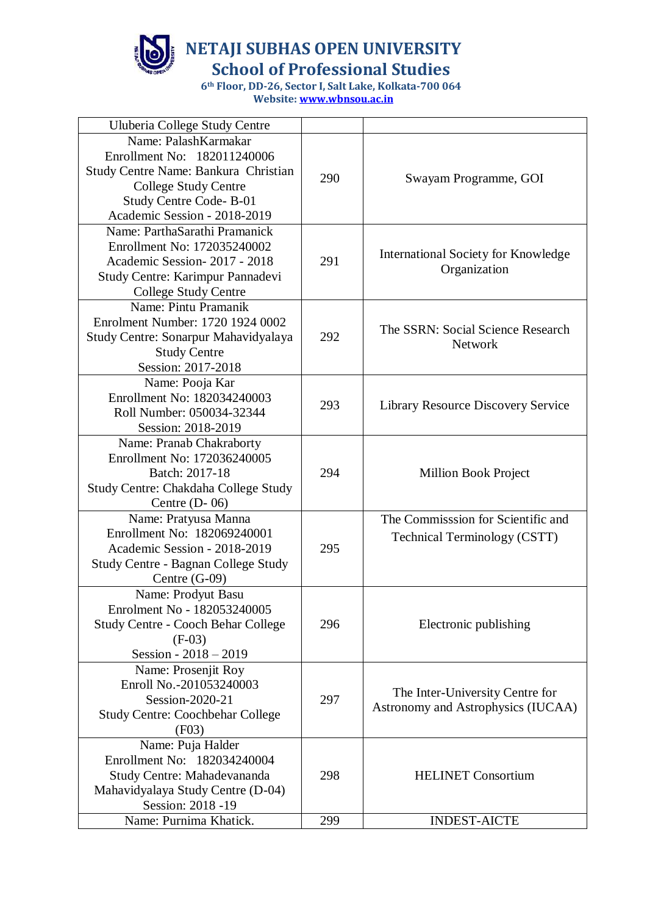

**School of Professional Studies**

| Uluberia College Study Centre                                                                                                                                                        |     |                                                                       |
|--------------------------------------------------------------------------------------------------------------------------------------------------------------------------------------|-----|-----------------------------------------------------------------------|
| Name: PalashKarmakar<br>Enrollment No: 182011240006<br>Study Centre Name: Bankura Christian<br><b>College Study Centre</b><br>Study Centre Code-B-01<br>Academic Session - 2018-2019 | 290 | Swayam Programme, GOI                                                 |
| Name: ParthaSarathi Pramanick<br>Enrollment No: 172035240002<br>Academic Session-2017 - 2018<br>Study Centre: Karimpur Pannadevi<br>College Study Centre                             | 291 | <b>International Society for Knowledge</b><br>Organization            |
| Name: Pintu Pramanik<br>Enrolment Number: 1720 1924 0002<br>Study Centre: Sonarpur Mahavidyalaya<br><b>Study Centre</b><br>Session: 2017-2018                                        | 292 | The SSRN: Social Science Research<br><b>Network</b>                   |
| Name: Pooja Kar<br>Enrollment No: 182034240003<br>Roll Number: 050034-32344<br>Session: 2018-2019                                                                                    | 293 | Library Resource Discovery Service                                    |
| Name: Pranab Chakraborty<br>Enrollment No: 172036240005<br>Batch: 2017-18<br>Study Centre: Chakdaha College Study<br>Centre $(D-06)$                                                 | 294 | <b>Million Book Project</b>                                           |
| Name: Pratyusa Manna<br>Enrollment No: 182069240001<br>Academic Session - 2018-2019<br><b>Study Centre - Bagnan College Study</b><br>Centre $(G-09)$                                 | 295 | The Commisssion for Scientific and<br>Technical Terminology (CSTT)    |
| Name: Prodyut Basu<br>Enrolment No - 182053240005<br>Study Centre - Cooch Behar College<br>$(F-03)$<br>Session - 2018 - 2019                                                         | 296 | Electronic publishing                                                 |
| Name: Prosenjit Roy<br>Enroll No.-201053240003<br>Session-2020-21<br><b>Study Centre: Coochbehar College</b><br>(F03)                                                                | 297 | The Inter-University Centre for<br>Astronomy and Astrophysics (IUCAA) |
| Name: Puja Halder<br>Enrollment No: 182034240004<br>Study Centre: Mahadevananda<br>Mahavidyalaya Study Centre (D-04)<br>Session: 2018 -19                                            | 298 | <b>HELINET</b> Consortium                                             |
| Name: Purnima Khatick.                                                                                                                                                               | 299 | <b>INDEST-AICTE</b>                                                   |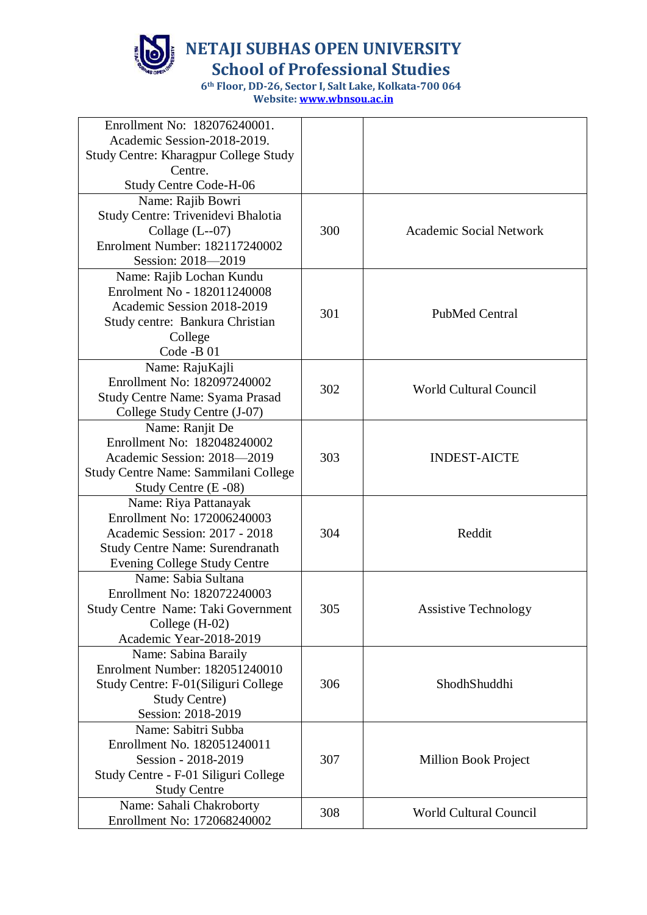

**School of Professional Studies**

| Enrollment No: 182076240001.<br>Academic Session-2018-2019.  |     |                               |
|--------------------------------------------------------------|-----|-------------------------------|
| <b>Study Centre: Kharagpur College Study</b>                 |     |                               |
| Centre.<br><b>Study Centre Code-H-06</b>                     |     |                               |
| Name: Rajib Bowri                                            |     |                               |
| Study Centre: Trivenidevi Bhalotia                           |     |                               |
| Collage $(L-07)$                                             | 300 | Academic Social Network       |
| Enrolment Number: 182117240002                               |     |                               |
| Session: 2018-2019                                           |     |                               |
| Name: Rajib Lochan Kundu                                     |     |                               |
| Enrolment No - 182011240008                                  |     |                               |
| Academic Session 2018-2019                                   | 301 | <b>PubMed Central</b>         |
| Study centre: Bankura Christian                              |     |                               |
| College                                                      |     |                               |
| Code -B 01                                                   |     |                               |
| Name: RajuKajli                                              |     |                               |
| Enrollment No: 182097240002                                  | 302 | <b>World Cultural Council</b> |
| Study Centre Name: Syama Prasad                              |     |                               |
| College Study Centre (J-07)                                  |     |                               |
| Name: Ranjit De                                              |     |                               |
| Enrollment No: 182048240002                                  |     |                               |
| Academic Session: 2018-2019                                  | 303 | <b>INDEST-AICTE</b>           |
| Study Centre Name: Sammilani College<br>Study Centre (E -08) |     |                               |
| Name: Riya Pattanayak                                        |     |                               |
| Enrollment No: 172006240003                                  |     |                               |
| Academic Session: 2017 - 2018                                | 304 | Reddit                        |
| <b>Study Centre Name: Surendranath</b>                       |     |                               |
| Evening College Study Centre                                 |     |                               |
| Name: Sabia Sultana                                          |     |                               |
| Enrollment No: 182072240003                                  |     |                               |
| Study Centre Name: Taki Government                           | 305 | <b>Assistive Technology</b>   |
| College $(H-02)$                                             |     |                               |
| Academic Year-2018-2019                                      |     |                               |
| Name: Sabina Baraily                                         |     |                               |
| Enrolment Number: 182051240010                               |     |                               |
| Study Centre: F-01(Siliguri College                          | 306 | ShodhShuddhi                  |
| <b>Study Centre)</b>                                         |     |                               |
| Session: 2018-2019                                           |     |                               |
| Name: Sabitri Subba                                          |     |                               |
| Enrollment No. 182051240011                                  |     |                               |
| Session - 2018-2019                                          | 307 | <b>Million Book Project</b>   |
| Study Centre - F-01 Siliguri College<br><b>Study Centre</b>  |     |                               |
| Name: Sahali Chakroborty                                     |     |                               |
| Enrollment No: 172068240002                                  | 308 | <b>World Cultural Council</b> |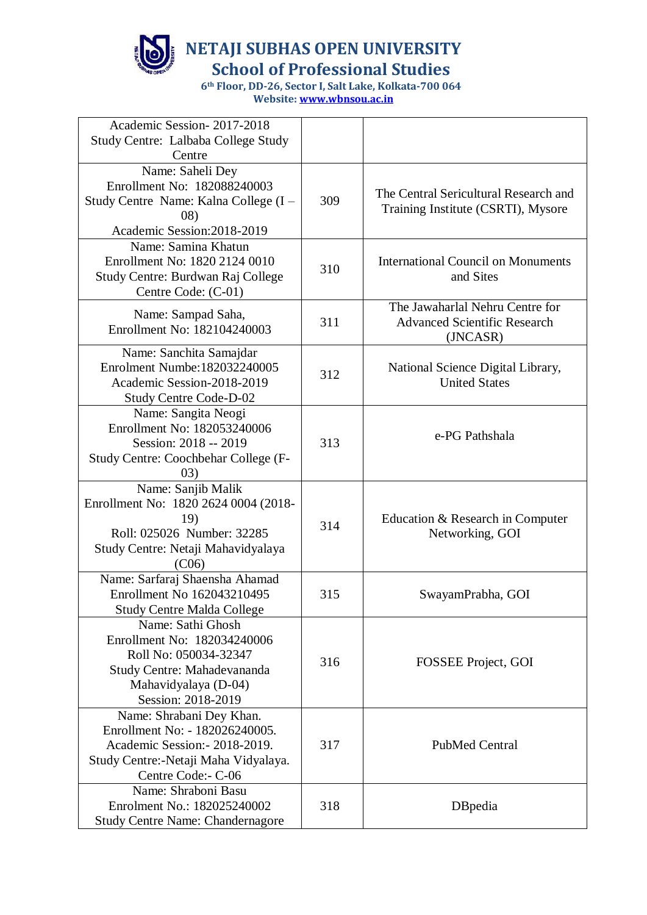

**School of Professional Studies**

| Academic Session-2017-2018                                                                                                                                 |     |                                                                                    |
|------------------------------------------------------------------------------------------------------------------------------------------------------------|-----|------------------------------------------------------------------------------------|
| Study Centre: Lalbaba College Study<br>Centre                                                                                                              |     |                                                                                    |
| Name: Saheli Dey                                                                                                                                           |     |                                                                                    |
| Enrollment No: 182088240003<br>Study Centre Name: Kalna College (I -<br>(08)<br>Academic Session: 2018-2019                                                | 309 | The Central Sericultural Research and<br>Training Institute (CSRTI), Mysore        |
| Name: Samina Khatun<br>Enrollment No: 1820 2124 0010<br>Study Centre: Burdwan Raj College<br>Centre Code: (C-01)                                           | 310 | <b>International Council on Monuments</b><br>and Sites                             |
| Name: Sampad Saha,<br>Enrollment No: 182104240003                                                                                                          | 311 | The Jawaharlal Nehru Centre for<br><b>Advanced Scientific Research</b><br>(JNCASR) |
| Name: Sanchita Samajdar<br>Enrolment Numbe: 182032240005<br>Academic Session-2018-2019<br><b>Study Centre Code-D-02</b>                                    | 312 | National Science Digital Library,<br><b>United States</b>                          |
| Name: Sangita Neogi<br>Enrollment No: 182053240006<br>Session: 2018 -- 2019<br>Study Centre: Coochbehar College (F-<br>03)                                 | 313 | e-PG Pathshala                                                                     |
| Name: Sanjib Malik<br>Enrollment No: 1820 2624 0004 (2018-<br>19)<br>Roll: 025026 Number: 32285<br>Study Centre: Netaji Mahavidyalaya<br>(C06)             | 314 | Education & Research in Computer<br>Networking, GOI                                |
| Name: Sarfaraj Shaensha Ahamad<br>Enrollment No 162043210495<br><b>Study Centre Malda College</b>                                                          | 315 | SwayamPrabha, GOI                                                                  |
| Name: Sathi Ghosh<br>Enrollment No: 182034240006<br>Roll No: 050034-32347<br>Study Centre: Mahadevananda<br>Mahavidyalaya (D-04)<br>Session: 2018-2019     | 316 | FOSSEE Project, GOI                                                                |
| Name: Shrabani Dey Khan.<br>Enrollment No: - 182026240005.<br>Academic Session: - 2018-2019.<br>Study Centre:-Netaji Maha Vidyalaya.<br>Centre Code:- C-06 | 317 | <b>PubMed Central</b>                                                              |
| Name: Shraboni Basu<br>Enrolment No.: 182025240002<br><b>Study Centre Name: Chandernagore</b>                                                              | 318 | DBpedia                                                                            |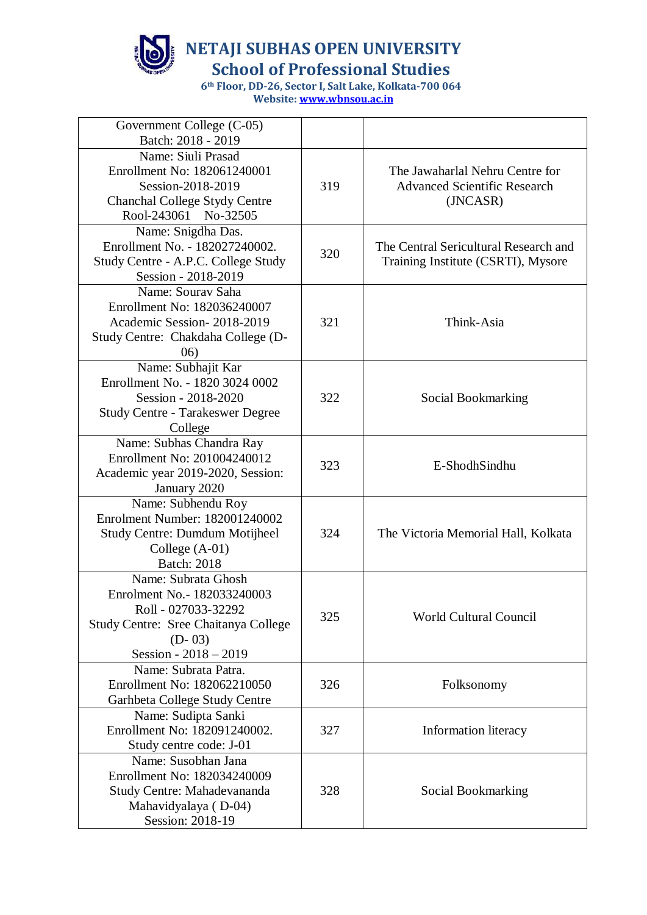

**School of Professional Studies**

| Government College (C-05)<br>Batch: 2018 - 2019                                                                                                           |     |                                                                                    |
|-----------------------------------------------------------------------------------------------------------------------------------------------------------|-----|------------------------------------------------------------------------------------|
| Name: Siuli Prasad<br>Enrollment No: 182061240001<br>Session-2018-2019<br>Chanchal College Stydy Centre<br>Rool-243061 No-32505                           | 319 | The Jawaharlal Nehru Centre for<br><b>Advanced Scientific Research</b><br>(JNCASR) |
| Name: Snigdha Das.<br>Enrollment No. - 182027240002.<br>Study Centre - A.P.C. College Study<br>Session - 2018-2019                                        | 320 | The Central Sericultural Research and<br>Training Institute (CSRTI), Mysore        |
| Name: Sourav Saha<br>Enrollment No: 182036240007<br>Academic Session-2018-2019<br>Study Centre: Chakdaha College (D-<br>06)                               | 321 | Think-Asia                                                                         |
| Name: Subhajit Kar<br>Enrollment No. - 1820 3024 0002<br>Session - 2018-2020<br><b>Study Centre - Tarakeswer Degree</b><br>College                        | 322 | Social Bookmarking                                                                 |
| Name: Subhas Chandra Ray<br>Enrollment No: 201004240012<br>Academic year 2019-2020, Session:<br>January 2020                                              | 323 | E-ShodhSindhu                                                                      |
| Name: Subhendu Roy<br>Enrolment Number: 182001240002<br><b>Study Centre: Dumdum Motijheel</b><br>College (A-01)<br><b>Batch: 2018</b>                     | 324 | The Victoria Memorial Hall, Kolkata                                                |
| Name: Subrata Ghosh<br>Enrolment No. - 182033240003<br>Roll - 027033-32292<br>Study Centre: Sree Chaitanya College<br>$(D-03)$<br>Session - $2018 - 2019$ | 325 | <b>World Cultural Council</b>                                                      |
| Name: Subrata Patra.<br>Enrollment No: 182062210050<br>Garhbeta College Study Centre                                                                      | 326 | Folksonomy                                                                         |
| Name: Sudipta Sanki<br>Enrollment No: 182091240002.<br>Study centre code: J-01                                                                            | 327 | Information literacy                                                               |
| Name: Susobhan Jana<br>Enrollment No: 182034240009<br>Study Centre: Mahadevananda<br>Mahavidyalaya (D-04)<br>Session: 2018-19                             | 328 | Social Bookmarking                                                                 |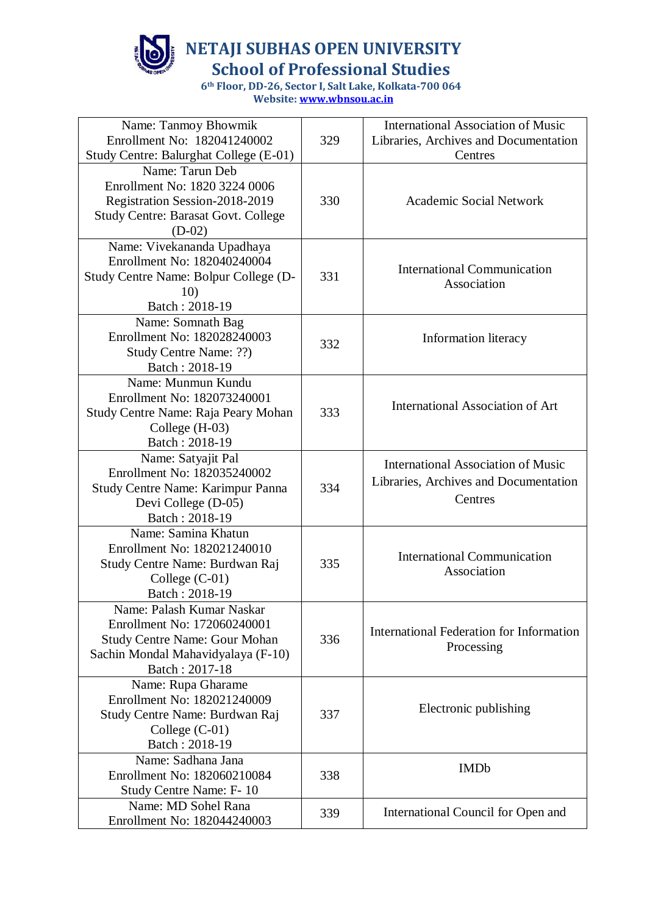

**School of Professional Studies**

| Name: Tanmoy Bhowmik                                      |     | <b>International Association of Music</b> |
|-----------------------------------------------------------|-----|-------------------------------------------|
| Enrollment No: 182041240002                               | 329 | Libraries, Archives and Documentation     |
| Study Centre: Balurghat College (E-01)<br>Name: Tarun Deb |     | Centres                                   |
| Enrollment No: 1820 3224 0006                             |     |                                           |
| Registration Session-2018-2019                            | 330 | <b>Academic Social Network</b>            |
| <b>Study Centre: Barasat Govt. College</b>                |     |                                           |
| $(D-02)$                                                  |     |                                           |
| Name: Vivekananda Upadhaya                                |     |                                           |
| Enrollment No: 182040240004                               |     |                                           |
| Study Centre Name: Bolpur College (D-                     | 331 | <b>International Communication</b>        |
| 10)                                                       |     | Association                               |
| Batch: 2018-19                                            |     |                                           |
| Name: Somnath Bag                                         |     |                                           |
| Enrollment No: 182028240003                               | 332 | Information literacy                      |
| Study Centre Name: ??)                                    |     |                                           |
| Batch: 2018-19                                            |     |                                           |
| Name: Munmun Kundu                                        |     |                                           |
| Enrollment No: 182073240001                               |     | <b>International Association of Art</b>   |
| Study Centre Name: Raja Peary Mohan                       | 333 |                                           |
| College (H-03)                                            |     |                                           |
| Batch: 2018-19                                            |     |                                           |
| Name: Satyajit Pal<br>Enrollment No: 182035240002         |     | <b>International Association of Music</b> |
| Study Centre Name: Karimpur Panna                         | 334 | Libraries, Archives and Documentation     |
| Devi College (D-05)                                       |     | Centres                                   |
| Batch: 2018-19                                            |     |                                           |
| Name: Samina Khatun                                       |     |                                           |
| Enrollment No: 182021240010                               |     |                                           |
| Study Centre Name: Burdwan Raj                            | 335 | <b>International Communication</b>        |
| College $(C-01)$                                          |     | Association                               |
| Batch: 2018-19                                            |     |                                           |
| Name: Palash Kumar Naskar                                 |     |                                           |
| Enrollment No: 172060240001                               |     | International Federation for Information  |
| <b>Study Centre Name: Gour Mohan</b>                      | 336 | Processing                                |
| Sachin Mondal Mahavidyalaya (F-10)                        |     |                                           |
| Batch: 2017-18                                            |     |                                           |
| Name: Rupa Gharame<br>Enrollment No: 182021240009         |     |                                           |
|                                                           | 337 | Electronic publishing                     |
| Study Centre Name: Burdwan Raj<br>College (C-01)          |     |                                           |
| Batch: 2018-19                                            |     |                                           |
| Name: Sadhana Jana                                        |     |                                           |
| Enrollment No: 182060210084                               | 338 | <b>IMDb</b>                               |
| Study Centre Name: F-10                                   |     |                                           |
| Name: MD Sohel Rana                                       |     |                                           |
| Enrollment No: 182044240003                               | 339 | International Council for Open and        |